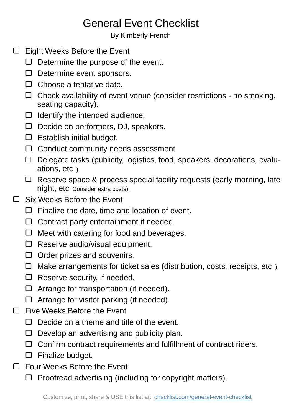## General Event Checklist

By Kimberly French

- □ Eight Weeks Before the Event
	- $\Box$  Determine the purpose of the event.
	- $\Box$  Determine event sponsors.
	- $\Box$  Choose a tentative date.
	- $\Box$  Check availability of event venue (consider restrictions no smoking, seating capacity).
	- $\Box$  Identify the intended audience.
	- $\Box$  Decide on performers, DJ, speakers.
	- $\square$  Establish initial budget.
	- $\Box$  Conduct community needs assessment
	- Delegate tasks (publicity, logistics, food, speakers, decorations, evaluations, etc ).
	- □ Reserve space & process special facility requests (early morning, late night, etc Consider extra costs).
- Six Weeks Before the Event  $\Box$ 
	- $\Box$  Finalize the date, time and location of event.
	- $\Box$  Contract party entertainment if needed.
	- $\Box$  Meet with catering for food and beverages.
	- $\Box$  Reserve audio/visual equipment.
	- $\Box$  Order prizes and souvenirs.
	- $\Box$  Make arrangements for ticket sales (distribution, costs, receipts, etc).
	- $\Box$  Reserve security, if needed.
	- $\Box$  Arrange for transportation (if needed).
	- $\Box$  Arrange for visitor parking (if needed).
- □ Five Weeks Before the Event
	- $\Box$  Decide on a theme and title of the event.
	- $\Box$  Develop an advertising and publicity plan.
	- $\Box$  Confirm contract requirements and fulfillment of contract riders.
	- $\square$  Finalize budget.
- $\Box$ Four Weeks Before the Event
	- $\Box$  Proofread advertising (including for copyright matters).